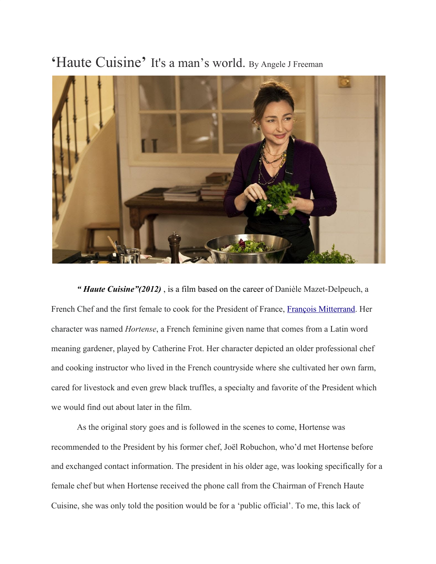## **'**Haute Cuisine**'** It's a man's world. By Angele J Freeman



*" Haute Cuisine"(2012)* , is a film based on the career of Danièle Mazet-Delpeuch, a French Chef and the first female to cook for the President of France, Francois Mitterrand. Her character was named *Hortense*, a French feminine given name that comes from a Latin word meaning gardener, played by Catherine Frot. Her character depicted an older professional chef and cooking instructor who lived in the French countryside where she cultivated her own farm, cared for livestock and even grew black truffles, a specialty and favorite of the President which we would find out about later in the film.

As the original story goes and is followed in the scenes to come, Hortense was recommended to the President by his former chef, Joël Robuchon, who'd met Hortense before and exchanged contact information. The president in his older age, was looking specifically for a female chef but when Hortense received the phone call from the Chairman of French Haute Cuisine, she was only told the position would be for a 'public official'. To me, this lack of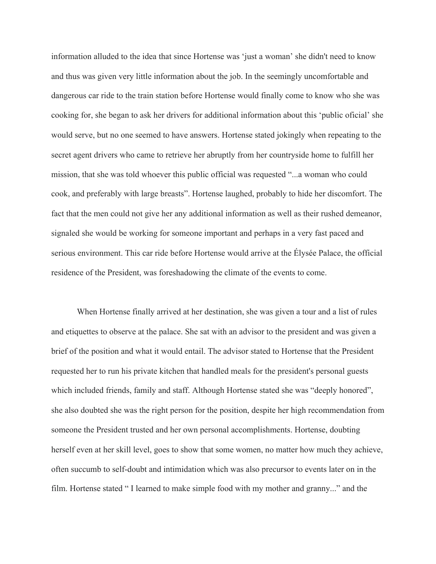information alluded to the idea that since Hortense was 'just a woman' she didn't need to know and thus was given very little information about the job. In the seemingly uncomfortable and dangerous car ride to the train station before Hortense would finally come to know who she was cooking for, she began to ask her drivers for additional information about this 'public oficial' she would serve, but no one seemed to have answers. Hortense stated jokingly when repeating to the secret agent drivers who came to retrieve her abruptly from her countryside home to fulfill her mission, that she was told whoever this public official was requested "...a woman who could cook, and preferably with large breasts". Hortense laughed, probably to hide her discomfort. The fact that the men could not give her any additional information as well as their rushed demeanor, signaled she would be working for someone important and perhaps in a very fast paced and serious environment. This car ride before Hortense would arrive at the Élysée Palace, the official residence of the President, was foreshadowing the climate of the events to come.

When Hortense finally arrived at her destination, she was given a tour and a list of rules and etiquettes to observe at the palace. She sat with an advisor to the president and was given a brief of the position and what it would entail. The advisor stated to Hortense that the President requested her to run his private kitchen that handled meals for the president's personal guests which included friends, family and staff. Although Hortense stated she was "deeply honored", she also doubted she was the right person for the position, despite her high recommendation from someone the President trusted and her own personal accomplishments. Hortense, doubting herself even at her skill level, goes to show that some women, no matter how much they achieve, often succumb to self-doubt and intimidation which was also precursor to events later on in the film. Hortense stated " I learned to make simple food with my mother and granny..." and the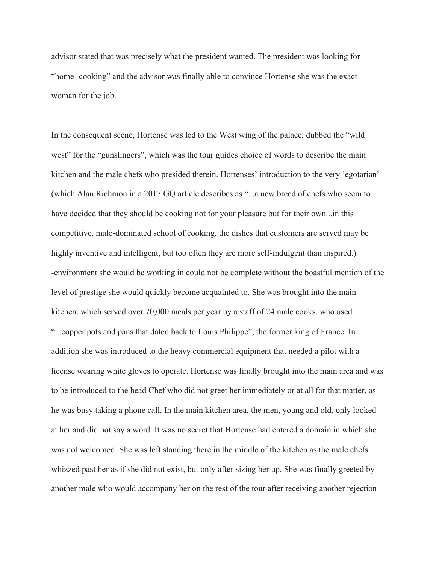advisor stated that was precisely what the president wanted. The president was looking for "home- cooking" and the advisor was finally able to convince Hortense she was the exact woman for the job.

In the consequent scene, Hortense was led to the West wing of the palace, dubbed the "wild west" for the "gunslingers", which was the tour guides choice of words to describe the main kitchen and the male chefs who presided therein. Hortenses' introduction to the very 'egotarian' (which Alan Richmon in a 2017 GQ article describes as "...a new breed of chefs who seem to have decided that they should be cooking not for your pleasure but for their own...in this competitive, male-dominated school of cooking, the dishes that customers are served may be highly inventive and intelligent, but too often they are more self-indulgent than inspired.) -environment she would be working in could not be complete without the boastful mention of the level of prestige she would quickly become acquainted to. She was brought into the main kitchen, which served over 70,000 meals per year by a staff of 24 male cooks, who used "...copper pots and pans that dated back to Louis Philippe", the former king of France. In addition she was introduced to the heavy commercial equipment that needed a pilot with a license wearing white gloves to operate. Hortense was finally brought into the main area and was to be introduced to the head Chef who did not greet her immediately or at all for that matter, as he was busy taking a phone call. In the main kitchen area, the men, young and old, only looked at her and did not say a word. It was no secret that Hortense had entered a domain in which she was not welcomed. She was left standing there in the middle of the kitchen as the male chefs whizzed past her as if she did not exist, but only after sizing her up. She was finally greeted by another male who would accompany her on the rest of the tour after receiving another rejection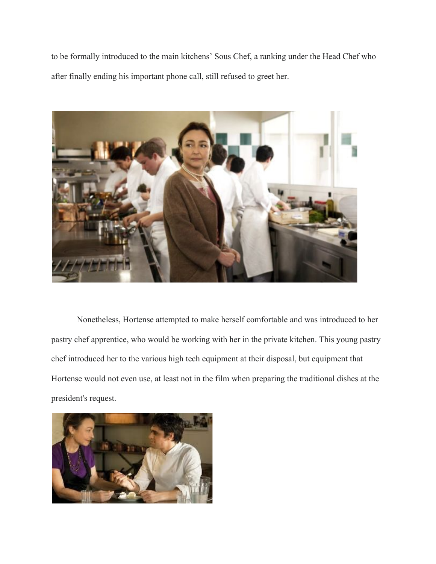to be formally introduced to the main kitchens' Sous Chef, a ranking under the Head Chef who after finally ending his important phone call, still refused to greet her.



Nonetheless, Hortense attempted to make herself comfortable and was introduced to her pastry chef apprentice, who would be working with her in the private kitchen. This young pastry chef introduced her to the various high tech equipment at their disposal, but equipment that Hortense would not even use, at least not in the film when preparing the traditional dishes at the president's request.

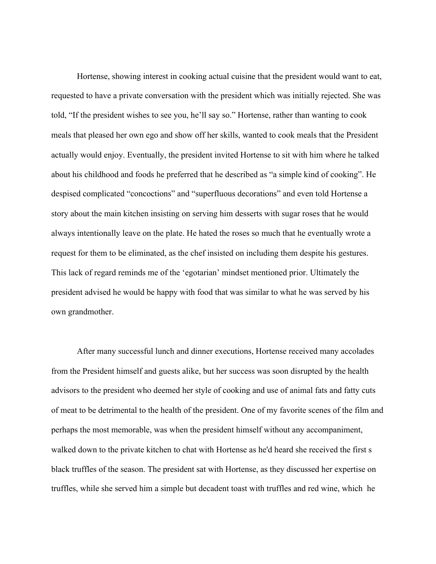Hortense, showing interest in cooking actual cuisine that the president would want to eat, requested to have a private conversation with the president which was initially rejected. She was told, "If the president wishes to see you, he'll say so." Hortense, rather than wanting to cook meals that pleased her own ego and show off her skills, wanted to cook meals that the President actually would enjoy. Eventually, the president invited Hortense to sit with him where he talked about his childhood and foods he preferred that he described as "a simple kind of cooking". He despised complicated "concoctions" and "superfluous decorations" and even told Hortense a story about the main kitchen insisting on serving him desserts with sugar roses that he would always intentionally leave on the plate. He hated the roses so much that he eventually wrote a request for them to be eliminated, as the chef insisted on including them despite his gestures. This lack of regard reminds me of the 'egotarian' mindset mentioned prior. Ultimately the president advised he would be happy with food that was similar to what he was served by his own grandmother.

After many successful lunch and dinner executions, Hortense received many accolades from the President himself and guests alike, but her success was soon disrupted by the health advisors to the president who deemed her style of cooking and use of animal fats and fatty cuts of meat to be detrimental to the health of the president. One of my favorite scenes of the film and perhaps the most memorable, was when the president himself without any accompaniment, walked down to the private kitchen to chat with Hortense as he'd heard she received the first s black truffles of the season. The president sat with Hortense, as they discussed her expertise on truffles, while she served him a simple but decadent toast with truffles and red wine, which he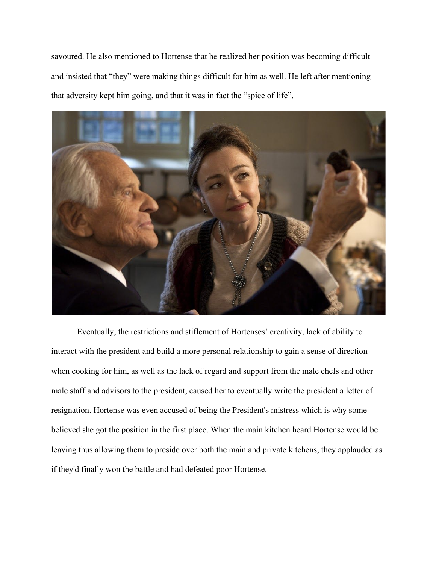savoured. He also mentioned to Hortense that he realized her position was becoming difficult and insisted that "they" were making things difficult for him as well. He left after mentioning that adversity kept him going, and that it was in fact the "spice of life".



Eventually, the restrictions and stiflement of Hortenses' creativity, lack of ability to interact with the president and build a more personal relationship to gain a sense of direction when cooking for him, as well as the lack of regard and support from the male chefs and other male staff and advisors to the president, caused her to eventually write the president a letter of resignation. Hortense was even accused of being the President's mistress which is why some believed she got the position in the first place. When the main kitchen heard Hortense would be leaving thus allowing them to preside over both the main and private kitchens, they applauded as if they'd finally won the battle and had defeated poor Hortense.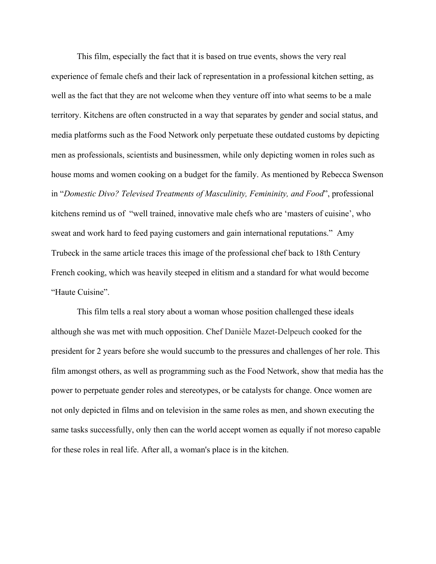This film, especially the fact that it is based on true events, shows the very real experience of female chefs and their lack of representation in a professional kitchen setting, as well as the fact that they are not welcome when they venture off into what seems to be a male territory. Kitchens are often constructed in a way that separates by gender and social status, and media platforms such as the Food Network only perpetuate these outdated customs by depicting men as professionals, scientists and businessmen, while only depicting women in roles such as house moms and women cooking on a budget for the family. As mentioned by Rebecca Swenson in "*Domestic Divo? Televised Treatments of Masculinity, Femininity, and Food*", professional kitchens remind us of "well trained, innovative male chefs who are 'masters of cuisine', who sweat and work hard to feed paying customers and gain international reputations." Amy Trubeck in the same article traces this image of the professional chef back to 18th Century French cooking, which was heavily steeped in elitism and a standard for what would become "Haute Cuisine".

This film tells a real story about a woman whose position challenged these ideals although she was met with much opposition. Chef Danièle Mazet-Delpeuch cooked for the president for 2 years before she would succumb to the pressures and challenges of her role. This film amongst others, as well as programming such as the Food Network, show that media has the power to perpetuate gender roles and stereotypes, or be catalysts for change. Once women are not only depicted in films and on television in the same roles as men, and shown executing the same tasks successfully, only then can the world accept women as equally if not moreso capable for these roles in real life. After all, a woman's place is in the kitchen.